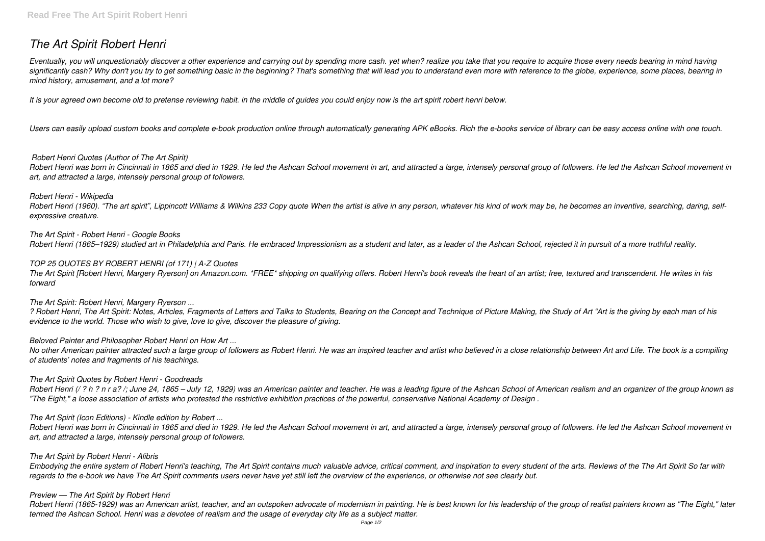# *The Art Spirit Robert Henri*

*Eventually, you will unquestionably discover a other experience and carrying out by spending more cash. yet when? realize you take that you require to acquire those every needs bearing in mind having significantly cash? Why don't you try to get something basic in the beginning? That's something that will lead you to understand even more with reference to the globe, experience, some places, bearing in mind history, amusement, and a lot more?*

It is your agreed own become old to pretense reviewing habit. in the middle of guides you could enjoy now is the art spirit robert henri below.

*Users can easily upload custom books and complete e-book production online through automatically generating APK eBooks. Rich the e-books service of library can be easy access online with one touch.*

## *Robert Henri Quotes (Author of The Art Spirit)*

*Robert Henri was born in Cincinnati in 1865 and died in 1929. He led the Ashcan School movement in art, and attracted a large, intensely personal group of followers. He led the Ashcan School movement in art, and attracted a large, intensely personal group of followers.*

*Robert Henri - Wikipedia* Robert Henri (1960). "The art spirit", Lippincott Williams & Wilkins 233 Copy quote When the artist is alive in any person, whatever his kind of work may be, he becomes an inventive, searching, daring, self*expressive creature.*

*The Art Spirit - Robert Henri - Google Books Robert Henri (1865–1929) studied art in Philadelphia and Paris. He embraced Impressionism as a student and later, as a leader of the Ashcan School, rejected it in pursuit of a more truthful reality.*

## *TOP 25 QUOTES BY ROBERT HENRI (of 171) | A-Z Quotes*

*The Art Spirit [Robert Henri, Margery Ryerson] on Amazon.com. \*FREE\* shipping on qualifying offers. Robert Henri's book reveals the heart of an artist; free, textured and transcendent. He writes in his forward*

## *The Art Spirit: Robert Henri, Margery Ryerson ...*

*? Robert Henri, The Art Spirit: Notes, Articles, Fragments of Letters and Talks to Students, Bearing on the Concept and Technique of Picture Making, the Study of Art "Art is the giving by each man of his evidence to the world. Those who wish to give, love to give, discover the pleasure of giving.*

## *Beloved Painter and Philosopher Robert Henri on How Art ...*

*No other American painter attracted such a large group of followers as Robert Henri. He was an inspired teacher and artist who believed in a close relationship between Art and Life. The book is a compiling of students' notes and fragments of his teachings.*

## *The Art Spirit Quotes by Robert Henri - Goodreads*

*Robert Henri (/ ? h ? n r a? /; June 24, 1865 – July 12, 1929) was an American painter and teacher. He was a leading figure of the Ashcan School of American realism and an organizer of the group known as "The Eight," a loose association of artists who protested the restrictive exhibition practices of the powerful, conservative National Academy of Design .*

## *The Art Spirit (Icon Editions) - Kindle edition by Robert ...*

*Robert Henri was born in Cincinnati in 1865 and died in 1929. He led the Ashcan School movement in art, and attracted a large, intensely personal group of followers. He led the Ashcan School movement in art, and attracted a large, intensely personal group of followers.*

## *The Art Spirit by Robert Henri - Alibris*

*Embodying the entire system of Robert Henri's teaching, The Art Spirit contains much valuable advice, critical comment, and inspiration to every student of the arts. Reviews of the The Art Spirit So far with regards to the e-book we have The Art Spirit comments users never have yet still left the overview of the experience, or otherwise not see clearly but.*

## *Preview — The Art Spirit by Robert Henri*

*Robert Henri (1865-1929) was an American artist, teacher, and an outspoken advocate of modernism in painting. He is best known for his leadership of the group of realist painters known as "The Eight," later termed the Ashcan School. Henri was a devotee of realism and the usage of everyday city life as a subject matter.*